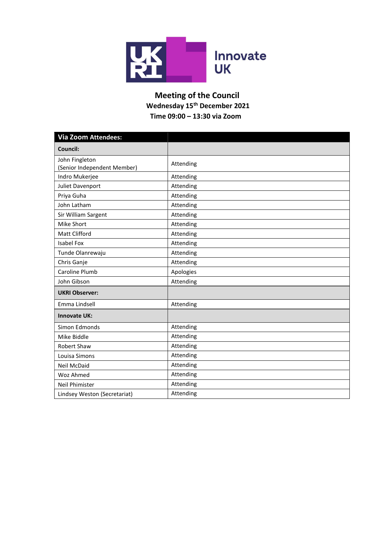

## Meeting of the Council Wednesday 15th December 2021 Time 09:00 – 13:30 via Zoom

| <b>Via Zoom Attendees:</b>                    |           |  |  |
|-----------------------------------------------|-----------|--|--|
| Council:                                      |           |  |  |
| John Fingleton<br>(Senior Independent Member) | Attending |  |  |
| Indro Mukerjee                                | Attending |  |  |
| Juliet Davenport                              | Attending |  |  |
| Priya Guha                                    | Attending |  |  |
| John Latham                                   | Attending |  |  |
| Sir William Sargent                           | Attending |  |  |
| Mike Short                                    | Attending |  |  |
| <b>Matt Clifford</b>                          | Attending |  |  |
| <b>Isabel Fox</b>                             | Attending |  |  |
| Tunde Olanrewaju                              | Attending |  |  |
| Chris Ganje                                   | Attending |  |  |
| Caroline Plumb                                | Apologies |  |  |
| John Gibson                                   | Attending |  |  |
| <b>UKRI Observer:</b>                         |           |  |  |
| Emma Lindsell                                 | Attending |  |  |
| <b>Innovate UK:</b>                           |           |  |  |
| Simon Edmonds                                 | Attending |  |  |
| Mike Biddle                                   | Attending |  |  |
| <b>Robert Shaw</b>                            | Attending |  |  |
| Louisa Simons                                 | Attending |  |  |
| <b>Neil McDaid</b>                            | Attending |  |  |
| Woz Ahmed                                     | Attending |  |  |
| <b>Neil Phimister</b>                         | Attending |  |  |
| Lindsey Weston (Secretariat)                  | Attending |  |  |